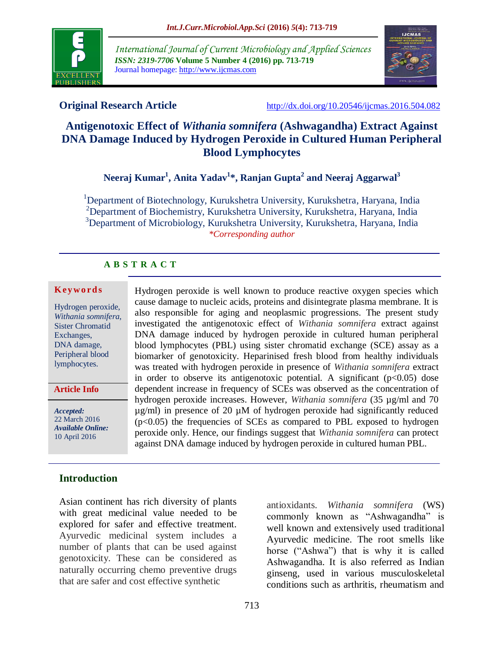

*International Journal of Current Microbiology and Applied Sciences ISSN: 2319-7706* **Volume 5 Number 4 (2016) pp. 713-719** Journal homepage: http://www.ijcmas.com



**Original Research Article** <http://dx.doi.org/10.20546/ijcmas.2016.504.082>

# **Antigenotoxic Effect of** *Withania somnifera* **(Ashwagandha) Extract Against DNA Damage Induced by Hydrogen Peroxide in Cultured Human Peripheral Blood Lymphocytes**

**Neeraj Kumar<sup>1</sup> , Anita Yadav<sup>1</sup> \*, Ranjan Gupta<sup>2</sup> and Neeraj Aggarwal<sup>3</sup>**

<sup>1</sup>Department of Biotechnology, Kurukshetra University, Kurukshetra, Haryana, India <sup>2</sup>Department of Biochemistry, Kurukshetra University, Kurukshetra, Haryana, India <sup>3</sup>Department of Microbiology, Kurukshetra University, Kurukshetra, Haryana, India *\*Corresponding author*

> Hydrogen peroxide is well known to produce reactive oxygen species which cause damage to nucleic acids, proteins and disintegrate plasma membrane. It is also responsible for aging and neoplasmic progressions. The present study investigated the antigenotoxic effect of *Withania somnifera* extract against DNA damage induced by hydrogen peroxide in cultured human peripheral blood lymphocytes (PBL) using sister chromatid exchange (SCE) assay as a biomarker of genotoxicity. Heparinised fresh blood from healthy individuals was treated with hydrogen peroxide in presence of *Withania somnifera* extract in order to observe its antigenotoxic potential. A significant  $(p<0.05)$  dose dependent increase in frequency of SCEs was observed as the concentration of hydrogen peroxide increases. However, *Withania somnifera* (35 µg/ml and 70  $\mu$ g/ml) in presence of 20  $\mu$ M of hydrogen peroxide had significantly reduced  $(p<0.05)$  the frequencies of SCEs as compared to PBL exposed to hydrogen peroxide only. Hence, our findings suggest that *Withania somnifera* can protect against DNA damage induced by hydrogen peroxide in cultured human PBL.

#### **A B S T R A C T**

#### **K ey w o rd s**

Hydrogen peroxide, *Withania somnifera*, Sister Chromatid Exchanges, DNA damage, Peripheral blood lymphocytes.

**Article Info**

*Accepted:*  22 March 2016 *Available Online:* 10 April 2016

#### **Introduction**

Asian continent has rich diversity of plants with great medicinal value needed to be explored for safer and effective treatment. Ayurvedic medicinal system includes a number of plants that can be used against genotoxicity. These can be considered as naturally occurring chemo preventive drugs that are safer and cost effective synthetic

antioxidants. *Withania somnifera* (WS) commonly known as "Ashwagandha" is well known and extensively used traditional Ayurvedic medicine. The root smells like horse ("Ashwa") that is why it is called Ashwagandha. It is also referred as Indian ginseng, used in various musculoskeletal conditions such as arthritis, rheumatism and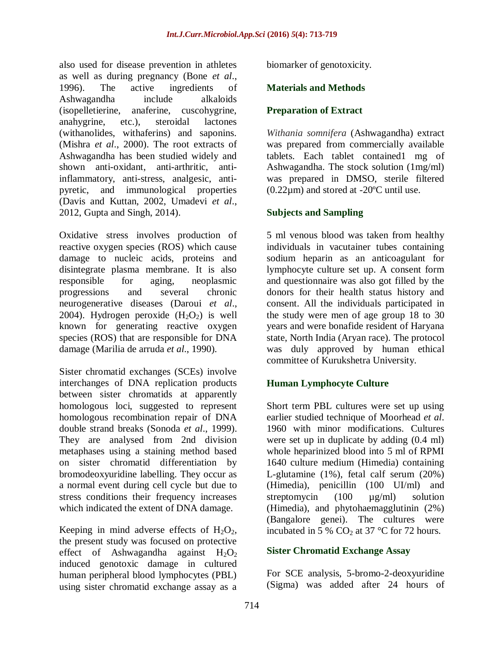also used for disease prevention in athletes as well as during pregnancy (Bone *et al*., 1996). The active ingredients of Ashwagandha include alkaloids (isopelletierine, anaferine, cuscohygrine, anahygrine, etc.), steroidal lactones (withanolides, withaferins) and saponins. (Mishra *et al*., 2000). The root extracts of Ashwagandha has been studied widely and shown anti-oxidant, anti-arthritic, antiinflammatory, anti-stress, analgesic, antipyretic, and immunological properties (Davis and Kuttan, 2002, Umadevi *et al*., 2012, Gupta and Singh, 2014).

Oxidative stress involves production of reactive oxygen species (ROS) which cause damage to nucleic acids, proteins and disintegrate plasma membrane. It is also responsible for aging, neoplasmic progressions and several chronic neurogenerative diseases (Daroui *et al*., 2004). Hydrogen peroxide  $(H_2O_2)$  is well known for generating reactive oxygen species (ROS) that are responsible for DNA damage (Marilia de arruda *et al*., 1990).

Sister chromatid exchanges (SCEs) involve interchanges of DNA replication products between sister chromatids at apparently homologous loci, suggested to represent homologous recombination repair of DNA double strand breaks (Sonoda *et al*., 1999). They are analysed from 2nd division metaphases using a staining method based on sister chromatid differentiation by bromodeoxyuridine labelling. They occur as a normal event during cell cycle but due to stress conditions their frequency increases which indicated the extent of DNA damage.

Keeping in mind adverse effects of  $H_2O_2$ , the present study was focused on protective effect of Ashwagandha against  $H_2O_2$ induced genotoxic damage in cultured human peripheral blood lymphocytes (PBL) using sister chromatid exchange assay as a

biomarker of genotoxicity.

### **Materials and Methods**

### **Preparation of Extract**

*Withania somnifera* (Ashwagandha) extract was prepared from commercially available tablets. Each tablet contained1 mg of Ashwagandha. The stock solution (1mg/ml) was prepared in DMSO, sterile filtered  $(0.22 \mu m)$  and stored at -20 $^{\circ}$ C until use.

## **Subjects and Sampling**

5 ml venous blood was taken from healthy individuals in vacutainer tubes containing sodium heparin as an anticoagulant for lymphocyte culture set up. A consent form and questionnaire was also got filled by the donors for their health status history and consent. All the individuals participated in the study were men of age group 18 to 30 years and were bonafide resident of Haryana state, North India (Aryan race). The protocol was duly approved by human ethical committee of Kurukshetra University.

#### **Human Lymphocyte Culture**

Short term PBL cultures were set up using earlier studied technique of Moorhead *et al*. 1960 with minor modifications. Cultures were set up in duplicate by adding (0.4 ml) whole heparinized blood into 5 ml of RPMI 1640 culture medium (Himedia) containing L-glutamine (1%), fetal calf serum (20%) (Himedia), penicillin (100 UI/ml) and streptomycin (100  $\mu$ g/ml) solution (Himedia), and phytohaemagglutinin (2%) (Bangalore genei). The cultures were incubated in 5 %  $CO<sub>2</sub>$  at 37 °C for 72 hours.

#### **Sister Chromatid Exchange Assay**

For SCE analysis, 5-bromo-2-deoxyuridine (Sigma) was added after 24 hours of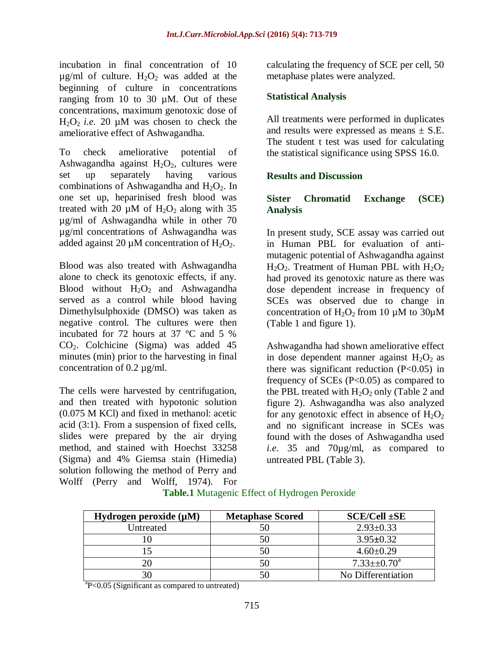incubation in final concentration of 10  $\mu$ g/ml of culture.  $H_2O_2$  was added at the beginning of culture in concentrations ranging from 10 to 30 µM. Out of these concentrations, maximum genotoxic dose of  $H_2O_2$  *i.e.* 20 µM was chosen to check the ameliorative effect of Ashwagandha.

To check ameliorative potential of Ashwagandha against  $H_2O_2$ , cultures were set up separately having various combinations of Ashwagandha and  $H_2O_2$ . In one set up, heparinised fresh blood was treated with 20  $\mu$ M of H<sub>2</sub>O<sub>2</sub> along with 35 µg/ml of Ashwagandha while in other 70 µg/ml concentrations of Ashwagandha was added against 20  $\mu$ M concentration of H<sub>2</sub>O<sub>2</sub>.

Blood was also treated with Ashwagandha alone to check its genotoxic effects, if any. Blood without  $H_2O_2$  and Ashwagandha served as a control while blood having Dimethylsulphoxide (DMSO) was taken as negative control. The cultures were then incubated for 72 hours at 37 °C and 5 % CO2. Colchicine (Sigma) was added 45 minutes (min) prior to the harvesting in final concentration of 0.2 µg/ml.

The cells were harvested by centrifugation, and then treated with hypotonic solution (0.075 M KCl) and fixed in methanol: acetic acid (3:1). From a suspension of fixed cells, slides were prepared by the air drying method, and stained with Hoechst 33258 (Sigma) and 4% Giemsa stain (Himedia) solution following the method of Perry and Wolff (Perry and Wolff, 1974). For calculating the frequency of SCE per cell, 50 metaphase plates were analyzed.

### **Statistical Analysis**

All treatments were performed in duplicates and results were expressed as means  $\pm$  S.E. The student t test was used for calculating the statistical significance using SPSS 16.0.

#### **Results and Discussion**

#### **Sister Chromatid Exchange (SCE) Analysis**

In present study, SCE assay was carried out in Human PBL for evaluation of antimutagenic potential of Ashwagandha against  $H_2O_2$ . Treatment of Human PBL with  $H_2O_2$ had proved its genotoxic nature as there was dose dependent increase in frequency of SCEs was observed due to change in concentration of  $H_2O_2$  from 10  $\mu$ M to 30 $\mu$ M (Table 1 and figure 1).

Ashwagandha had shown ameliorative effect in dose dependent manner against  $H_2O_2$  as there was significant reduction (P<0.05) in frequency of SCEs (P<0.05) as compared to the PBL treated with  $H_2O_2$  only (Table 2 and figure 2). Ashwagandha was also analyzed for any genotoxic effect in absence of  $H_2O_2$ and no significant increase in SCEs was found with the doses of Ashwagandha used *i.e*. 35 and 70µg/ml, as compared to untreated PBL (Table 3).

| Hydrogen peroxide $(\mu M)$ | <b>Metaphase Scored</b> | $SCE/Cell + SE$    |
|-----------------------------|-------------------------|--------------------|
| Untreated                   | 50                      | $2.93 \pm 0.33$    |
|                             | 50                      | $3.95 \pm 0.32$    |
|                             | 50                      | $4.60 \pm 0.29$    |
|                             | 50                      | $7.33 \pm 0.70^a$  |
|                             | 50                      | No Differentiation |

**Table.1** Mutagenic Effect of Hydrogen Peroxide

<sup>a</sup>P<0.05 (Significant as compared to untreated)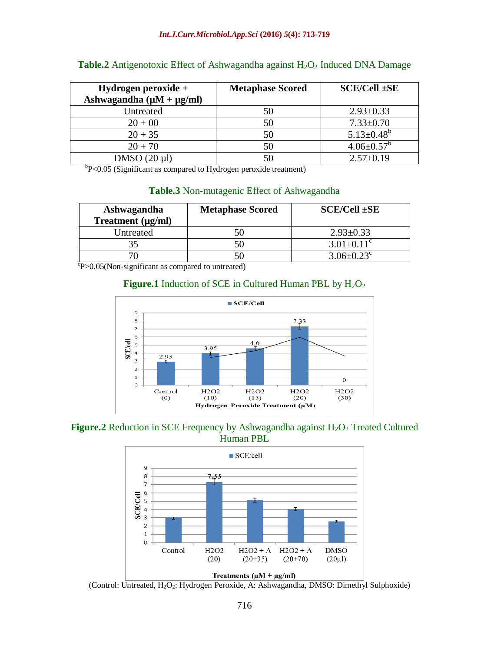| Hydrogen peroxide $+$               | <b>Metaphase Scored</b> | $SCE/Cell + SE$              |
|-------------------------------------|-------------------------|------------------------------|
| Ashwagandha ( $\mu$ M + $\mu$ g/ml) |                         |                              |
| Untreated                           | 50                      | $2.93 \pm 0.33$              |
| $20 + 00$                           | 50                      | $7.33 \pm 0.70$              |
| $20 + 35$                           | 50                      | $5.13 \pm 0.48$ <sup>b</sup> |
| $20 + 70$                           | 50                      | $4.06 \pm 0.57^b$            |
| $DMSO(20 \mu l)$                    | 50                      | $2.57 \pm 0.19$              |

#### **Table.2** Antigenotoxic Effect of Ashwagandha against H<sub>2</sub>O<sub>2</sub> Induced DNA Damage

<sup>b</sup>P<0.05 (Significant as compared to Hydrogen peroxide treatment)

#### **Table.3** Non-mutagenic Effect of Ashwagandha

| Ashwagandha<br>Treatment (µg/ml) | <b>Metaphase Scored</b> | $SCE/Cell$ $\pm SE$          |
|----------------------------------|-------------------------|------------------------------|
| Untreated                        |                         | $2.93 \pm 0.33$              |
| 35                               | 50                      | $3.01 \pm 0.11$ <sup>c</sup> |
|                                  |                         | $3.06 \pm 0.23$ <sup>c</sup> |

P>0.05(Non-significant as compared to untreated)

## **Figure.1** Induction of SCE in Cultured Human PBL by  $H_2O_2$



**Figure.2** Reduction in SCE Frequency by Ashwagandha against H<sub>2</sub>O<sub>2</sub> Treated Cultured Human PBL



(Control: Untreated, H<sub>2</sub>O<sub>2</sub>: Hydrogen Peroxide, A: Ashwagandha, DMSO: Dimethyl Sulphoxide)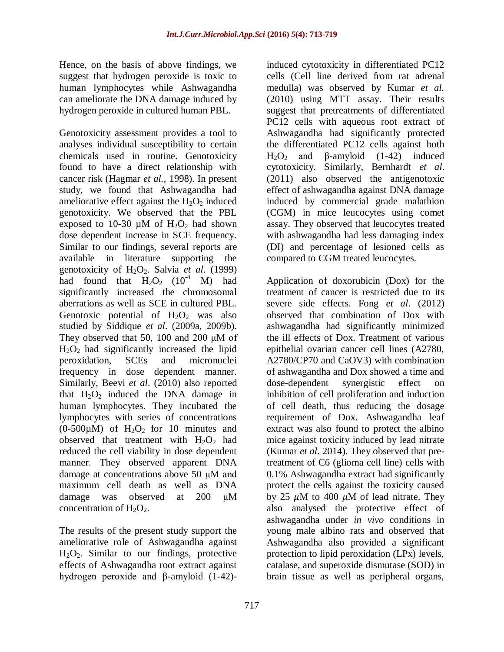Hence, on the basis of above findings, we suggest that hydrogen peroxide is toxic to human lymphocytes while Ashwagandha can ameliorate the DNA damage induced by hydrogen peroxide in cultured human PBL.

Genotoxicity assessment provides a tool to analyses individual susceptibility to certain chemicals used in routine. Genotoxicity found to have a direct relationship with cancer risk (Hagmar *et al.,* 1998). In present study, we found that Ashwagandha had ameliorative effect against the  $H_2O_2$  induced genotoxicity. We observed that the PBL exposed to 10-30  $\mu$ M of H<sub>2</sub>O<sub>2</sub> had shown dose dependent increase in SCE frequency. Similar to our findings, several reports are available in literature supporting the genotoxicity of  $H_2O_2$ . Salvia *et al.* (1999) had found that  $H_2O_2$  (10<sup>-4</sup> M) had significantly increased the chromosomal aberrations as well as SCE in cultured PBL. Genotoxic potential of  $H_2O_2$  was also studied by Siddique *et al*. (2009a, 2009b). They observed that 50, 100 and 200 μM of  $H<sub>2</sub>O<sub>2</sub>$  had significantly increased the lipid peroxidation, SCEs and micronuclei frequency in dose dependent manner. Similarly, Beevi *et al*. (2010) also reported that  $H_2O_2$  induced the DNA damage in human lymphocytes. They incubated the lymphocytes with series of concentrations (0-500 $\mu$ M) of H<sub>2</sub>O<sub>2</sub> for 10 minutes and observed that treatment with  $H_2O_2$  had reduced the cell viability in dose dependent manner. They observed apparent DNA damage at concentrations above 50 μM and maximum cell death as well as DNA damage was observed at 200 μM concentration of  $H_2O_2$ .

The results of the present study support the ameliorative role of Ashwagandha against  $H_2O_2$ . Similar to our findings, protective effects of Ashwagandha root extract against hydrogen peroxide and β-amyloid (1-42)-

induced cytotoxicity in differentiated PC12 cells (Cell line derived from rat adrenal medulla) was observed by Kumar *et al.*  (2010) using MTT assay. Their results suggest that pretreatments of differentiated PC12 cells with aqueous root extract of Ashwagandha had significantly protected the differentiated PC12 cells against both H<sub>2</sub>O<sub>2</sub> and β-amyloid  $(1-42)$  induced cytotoxicity. Similarly, Bernhardt *et al*. (2011) also observed the antigenotoxic effect of ashwagandha against DNA damage induced by commercial grade malathion (CGM) in mice leucocytes using comet assay. They observed that leucocytes treated with ashwagandha had less damaging index (DI) and percentage of lesioned cells as compared to CGM treated leucocytes.

Application of doxorubicin (Dox) for the treatment of cancer is restricted due to its severe side effects. Fong *et al*. (2012) observed that combination of Dox with ashwagandha had significantly minimized the ill effects of Dox. Treatment of various epithelial ovarian cancer cell lines (A2780, A2780/CP70 and CaOV3) with combination of ashwagandha and Dox showed a time and dose-dependent synergistic effect on inhibition of cell proliferation and induction of cell death, thus reducing the dosage requirement of Dox. Ashwagandha leaf extract was also found to protect the albino mice against toxicity induced by lead nitrate (Kumar *et al*. 2014). They observed that pretreatment of C6 (glioma cell line) cells with 0.1% Ashwagandha extract had significantly protect the cells against the toxicity caused by 25  $\mu$ M to 400  $\mu$ M of lead nitrate. They also analysed the protective effect of ashwagandha under *in vivo* conditions in young male albino rats and observed that Ashwagandha also provided a significant protection to lipid peroxidation (LPx) levels, catalase, and superoxide dismutase (SOD) in brain tissue as well as peripheral organs,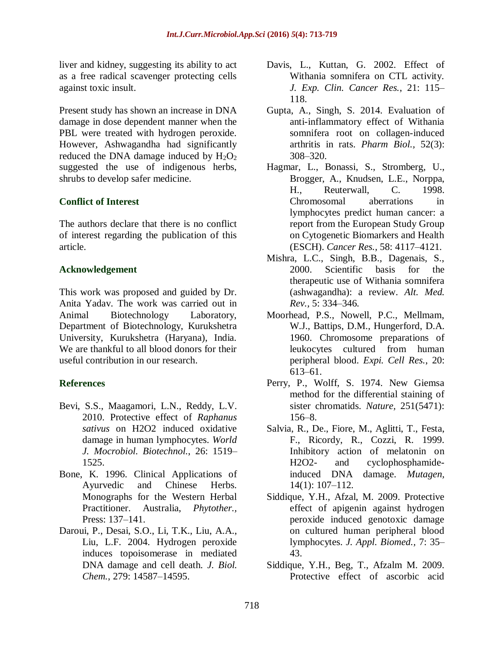liver and kidney, suggesting its ability to act as a free radical scavenger protecting cells against toxic insult.

Present study has shown an increase in DNA damage in dose dependent manner when the PBL were treated with hydrogen peroxide. However, Ashwagandha had significantly reduced the DNA damage induced by  $H_2O_2$ suggested the use of indigenous herbs, shrubs to develop safer medicine.

## **Conflict of Interest**

The authors declare that there is no conflict of interest regarding the publication of this article.

#### **Acknowledgement**

This work was proposed and guided by Dr. Anita Yadav. The work was carried out in Animal Biotechnology Laboratory, Department of Biotechnology, Kurukshetra University, Kurukshetra (Haryana), India. We are thankful to all blood donors for their useful contribution in our research.

## **References**

- Bevi, S.S., Maagamori, L.N., Reddy, L.V. 2010. Protective effect of *Raphanus sativus* on H2O2 induced oxidative damage in human lymphocytes. *World J. Mocrobiol. Biotechnol.*, 26: 1519– 1525.
- Bone, K. 1996. Clinical Applications of Ayurvedic and Chinese Herbs. Monographs for the Western Herbal Practitioner. Australia, *Phytother.,* Press: 137–141.
- Daroui, P., Desai, S.O., Li, T.K., Liu, A.A., Liu, L.F. 2004. Hydrogen peroxide induces topoisomerase in mediated DNA damage and cell death. *J. Biol. Chem.*, 279: 14587–14595.
- Davis, L., Kuttan, G. 2002. Effect of Withania somnifera on CTL activity. *J. Exp. Clin. Cancer Res.*, 21: 115– 118.
- Gupta, A., Singh, S. 2014. Evaluation of anti-inflammatory effect of Withania somnifera root on collagen-induced arthritis in rats. *Pharm Biol.,* 52(3): 308–320.
- Hagmar, L., Bonassi, S., Stromberg, U., Brogger, A., Knudsen, L.E., Norppa, H., Reuterwall, C. 1998. Chromosomal aberrations in lymphocytes predict human cancer: a report from the European Study Group on Cytogenetic Biomarkers and Health (ESCH). *Cancer Res.,* 58: 4117–4121.
- Mishra, L.C., Singh, B.B., Dagenais, S., 2000. Scientific basis for the therapeutic use of Withania somnifera (ashwagandha): a review. *Alt. Med. Rev.,* 5: 334–346.
- Moorhead, P.S., Nowell, P.C., Mellmam, W.J., Battips, D.M., Hungerford, D.A. 1960. Chromosome preparations of leukocytes cultured from human peripheral blood. *Expi. Cell Res.*, 20: 613–61.
- Perry, P., Wolff, S. 1974. New Giemsa method for the differential staining of sister chromatids. *Nature,* 251(5471): 156–8.
- Salvia, R., De., Fiore, M., Aglitti, T., Festa, F., Ricordy, R., Cozzi, R. 1999. Inhibitory action of melatonin on H2O2- and cyclophosphamideinduced DNA damage. *Mutagen,*  14(1): 107–112.
- Siddique, Y.H., Afzal, M. 2009. Protective effect of apigenin against hydrogen peroxide induced genotoxic damage on cultured human peripheral blood lymphocytes. *J. Appl. Biomed.,* 7: 35– 43.
- Siddique, Y.H., Beg, T., Afzalm M. 2009. Protective effect of ascorbic acid